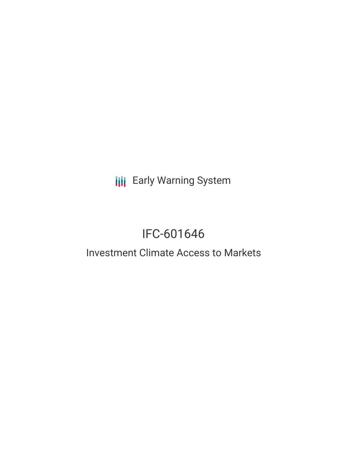**III** Early Warning System

# IFC-601646

## Investment Climate Access to Markets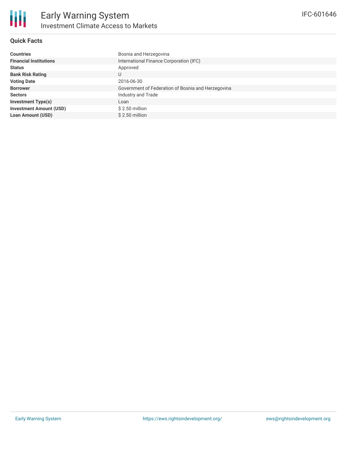

#### **Quick Facts**

| <b>Countries</b>               | Bosnia and Herzegovina                             |
|--------------------------------|----------------------------------------------------|
| <b>Financial Institutions</b>  | International Finance Corporation (IFC)            |
| <b>Status</b>                  | Approved                                           |
| <b>Bank Risk Rating</b>        | U                                                  |
| <b>Voting Date</b>             | 2016-06-30                                         |
| <b>Borrower</b>                | Government of Federation of Bosnia and Herzegovina |
| <b>Sectors</b>                 | Industry and Trade                                 |
| <b>Investment Type(s)</b>      | Loan                                               |
| <b>Investment Amount (USD)</b> | $$2.50$ million                                    |
| <b>Loan Amount (USD)</b>       | $$2.50$ million                                    |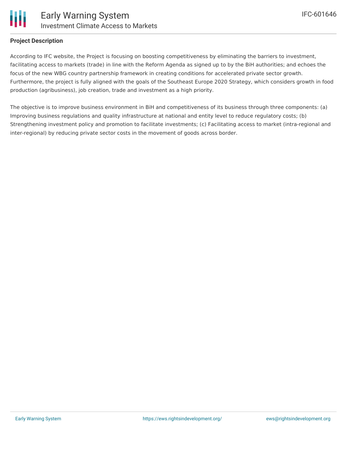

#### **Project Description**

According to IFC website, the Project is focusing on boosting competitiveness by eliminating the barriers to investment, facilitating access to markets (trade) in line with the Reform Agenda as signed up to by the BiH authorities; and echoes the focus of the new WBG country partnership framework in creating conditions for accelerated private sector growth. Furthermore, the project is fully aligned with the goals of the Southeast Europe 2020 Strategy, which considers growth in food production (agribusiness), job creation, trade and investment as a high priority.

The objective is to improve business environment in BiH and competitiveness of its business through three components: (a) Improving business regulations and quality infrastructure at national and entity level to reduce regulatory costs; (b) Strengthening investment policy and promotion to facilitate investments; (c) Facilitating access to market (intra-regional and inter-regional) by reducing private sector costs in the movement of goods across border.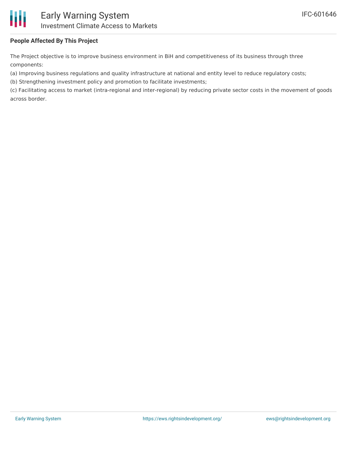

#### **People Affected By This Project**

The Project objective is to improve business environment in BiH and competitiveness of its business through three components:

(a) Improving business regulations and quality infrastructure at national and entity level to reduce regulatory costs;

(b) Strengthening investment policy and promotion to facilitate investments;

(c) Facilitating access to market (intra-regional and inter-regional) by reducing private sector costs in the movement of goods across border.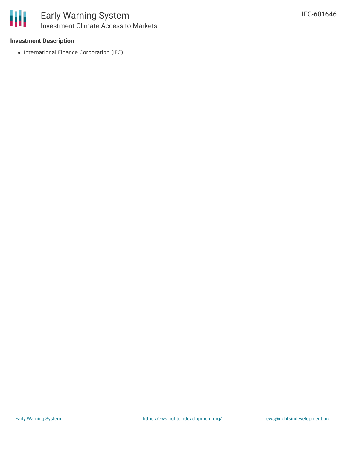

#### **Investment Description**

• International Finance Corporation (IFC)